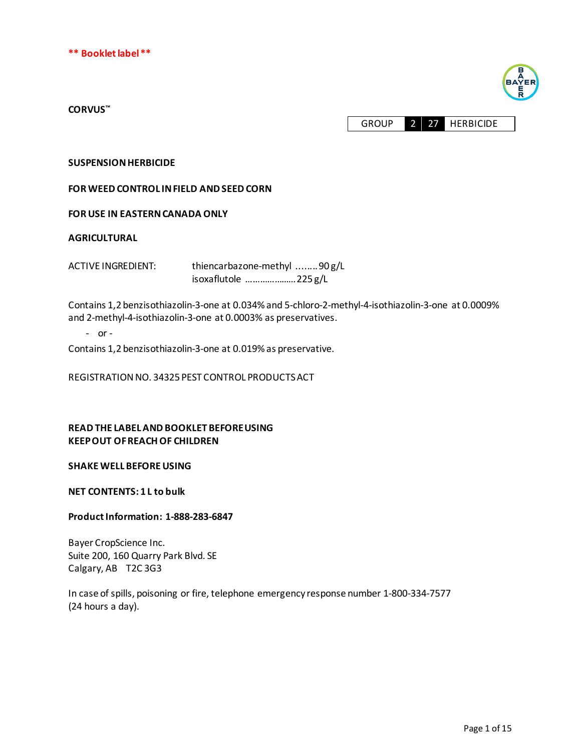



#### **CORVUS™**

GROUP 2 27 HERBICIDE

### **SUSPENSION HERBICIDE**

**FOR WEED CONTROL IN FIELD AND SEEDCORN**

## **FOR USE IN EASTERN CANADA ONLY**

#### **AGRICULTURAL**

ACTIVE INGREDIENT: thiencarbazone-methyl ........ 90 g/L

isoxaflutole ………………… 225 g/L

Contains 1,2 benzisothiazolin-3-one at 0.034% and 5-chloro-2-methyl-4-isothiazolin-3-one at 0.0009% and 2-methyl-4-isothiazolin-3-one at 0.0003% as preservatives.

- or -

Contains 1,2 benzisothiazolin-3-one at 0.019% as preservative.

REGISTRATION NO. 34325 PEST CONTROL PRODUCTS ACT

## **READ THE LABEL AND BOOKLET BEFORE USING KEEP OUT OF REACH OF CHILDREN**

#### **SHAKE WELL BEFORE USING**

**NET CONTENTS: 1 L to bulk**

### **Product Information: 1-888-283-6847**

Bayer CropScience Inc. Suite 200, 160 Quarry Park Blvd. SE Calgary, AB T2C 3G3

In case ofspills, poisoning or fire, telephone emergency response number 1-800-334-7577 (24 hours a day).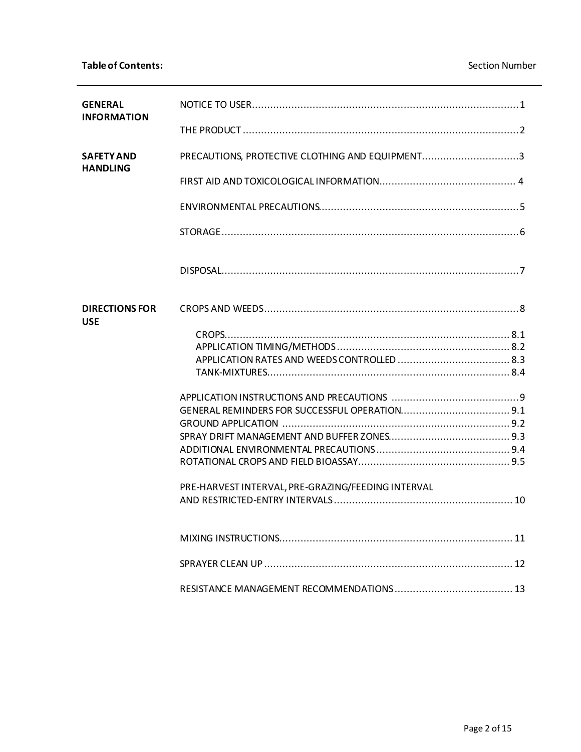| <b>GENERAL</b>                      |                                                    |
|-------------------------------------|----------------------------------------------------|
| <b>INFORMATION</b>                  |                                                    |
| <b>SAFETY AND</b>                   | PRECAUTIONS, PROTECTIVE CLOTHING AND EQUIPMENT3    |
| <b>HANDLING</b>                     |                                                    |
|                                     |                                                    |
|                                     |                                                    |
|                                     |                                                    |
| <b>DIRECTIONS FOR</b><br><b>USE</b> |                                                    |
|                                     |                                                    |
|                                     |                                                    |
|                                     |                                                    |
|                                     |                                                    |
|                                     |                                                    |
|                                     |                                                    |
|                                     |                                                    |
|                                     |                                                    |
|                                     |                                                    |
|                                     |                                                    |
|                                     | PRE-HARVEST INTERVAL, PRE-GRAZING/FEEDING INTERVAL |
|                                     |                                                    |
|                                     |                                                    |
|                                     |                                                    |
|                                     |                                                    |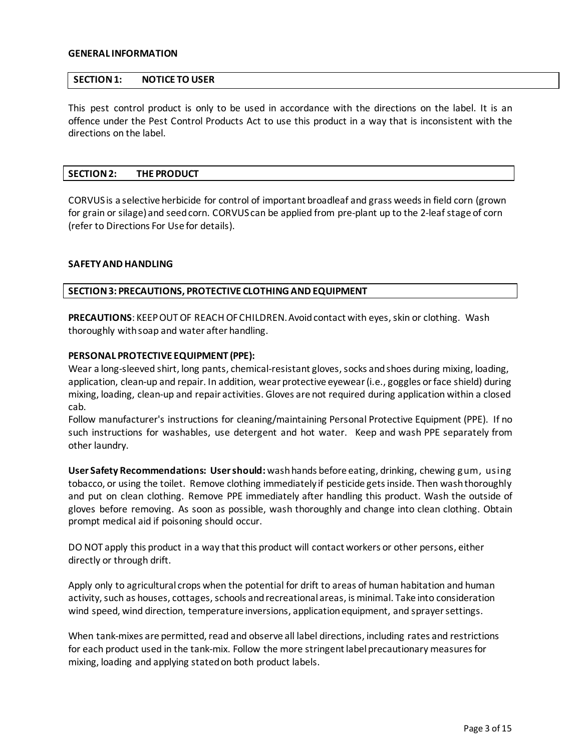#### **GENERAL INFORMATION**

### **SECTION 1: NOTICE TO USER**

This pest control product is only to be used in accordance with the directions on the label. It is an offence under the Pest Control Products Act to use this product in a way that is inconsistent with the directions on the label.

#### **SECTION 2: THE PRODUCT**

CORVUSis a selective herbicide for control of important broadleaf and grass weedsin field corn (grown for grain or silage) and seed corn. CORVUScan be applied from pre-plant up to the 2-leaf stage of corn (refer to Directions For Use for details).

### **SAFETYAND HANDLING**

#### **SECTION 3: PRECAUTIONS, PROTECTIVE CLOTHING AND EQUIPMENT**

PRECAUTIONS: KEEP OUT OF REACH OF CHILDREN. Avoid contact with eyes, skin or clothing. Wash thoroughly with soap and water after handling.

#### **PERSONAL PROTECTIVE EQUIPMENT (PPE):**

Wear a long-sleeved shirt, long pants, chemical-resistant gloves, socks and shoes during mixing, loading, application, clean-up and repair. In addition, wear protective eyewear (i.e., goggles or face shield) during mixing, loading, clean-up and repair activities. Gloves are not required during application within a closed cab.

Follow manufacturer's instructions for cleaning/maintaining Personal Protective Equipment (PPE). If no such instructions for washables, use detergent and hot water. Keep and wash PPE separately from other laundry.

**User Safety Recommendations: User should:** wash hands before eating, drinking, chewing gum, using tobacco, or using the toilet. Remove clothing immediately if pesticide getsinside. Then wash thoroughly and put on clean clothing. Remove PPE immediately after handling this product. Wash the outside of gloves before removing. As soon as possible, wash thoroughly and change into clean clothing. Obtain prompt medical aid if poisoning should occur.

DO NOT apply this product in a way that this product will contact workers or other persons, either directly or through drift.

Apply only to agricultural crops when the potential for drift to areas of human habitation and human activity, such as houses, cottages, schools and recreational areas, is minimal. Take into consideration wind speed, wind direction, temperature inversions, application equipment, and sprayer settings.

When tank-mixes are permitted, read and observe all label directions, including rates and restrictions for each product used in the tank-mix. Follow the more stringent label precautionary measures for mixing, loading and applying stated on both product labels.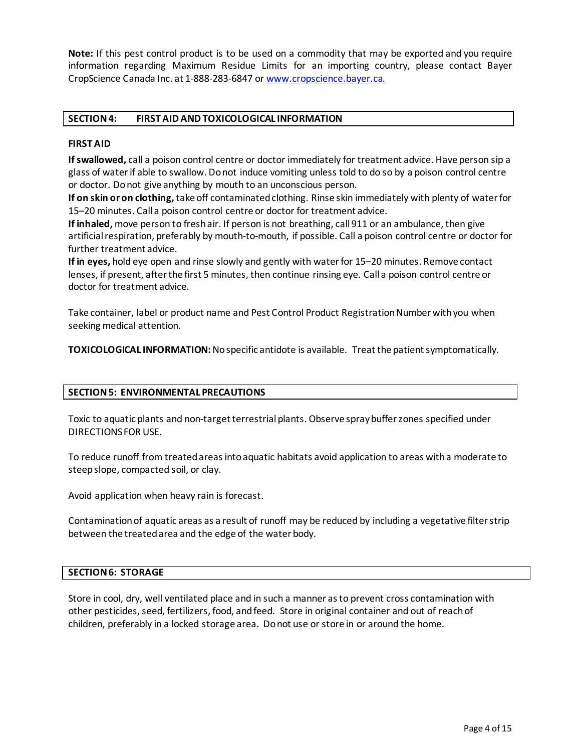**Note:** If this pest control product is to be used on a commodity that may be exported and you require information regarding Maximum Residue Limits for an importing country, please contact Bayer CropScience Canada Inc. at 1-888-283-6847 or [www.cropscience.bayer.ca.](http://www.cropscience.bayer.ca/)

## **SECTION 4: FIRST AID AND TOXICOLOGICAL INFORMATION**

### **FIRST AID**

**If swallowed,** call a poison control centre or doctor immediately for treatment advice. Have person sip a glass of waterif able to swallow. Donot induce vomiting unless told to do so by a poison control centre or doctor. Do not give anything by mouth to an unconscious person.

**If on skin or on clothing,** take off contaminated clothing. Rinse skin immediately with plenty of waterfor 15–20 minutes. Call a poison control centre or doctor for treatment advice.

**If inhaled,** move person to fresh air. If person is not breathing, call 911 or an ambulance, then give artificial respiration, preferably by mouth-to-mouth, if possible. Call a poison control centre or doctor for further treatment advice.

**If in eyes,** hold eye open and rinse slowly and gently with waterfor 15–20 minutes. Remove contact lenses, if present, after the first 5 minutes, then continue rinsing eye. Call a poison control centre or doctor for treatment advice.

Take container, label or product name and Pest Control Product Registration Number with you when seeking medical attention.

**TOXICOLOGICAL INFORMATION:** No specific antidote is available. Treat the patient symptomatically.

## **SECTION 5: ENVIRONMENTAL PRECAUTIONS**

Toxic to aquatic plants and non-target terrestrial plants. Observe spray buffer zones specified under DIRECTIONS FOR USE.

To reduce runoff from treated areas into aquatic habitats avoid application to areas witha moderate to steep slope, compacted soil, or clay.

Avoid application when heavy rain is forecast.

Contamination of aquatic areas as a result of runoff may be reduced by including a vegetative filter strip between the treated area and the edge of the water body.

#### **SECTION 6: STORAGE**

Store in cool, dry, well ventilated place and in such a manner asto prevent cross contamination with other pesticides, seed, fertilizers, food, and feed. Store in original container and out of reach of children, preferably in a locked storage area. Do not use or store in or around the home.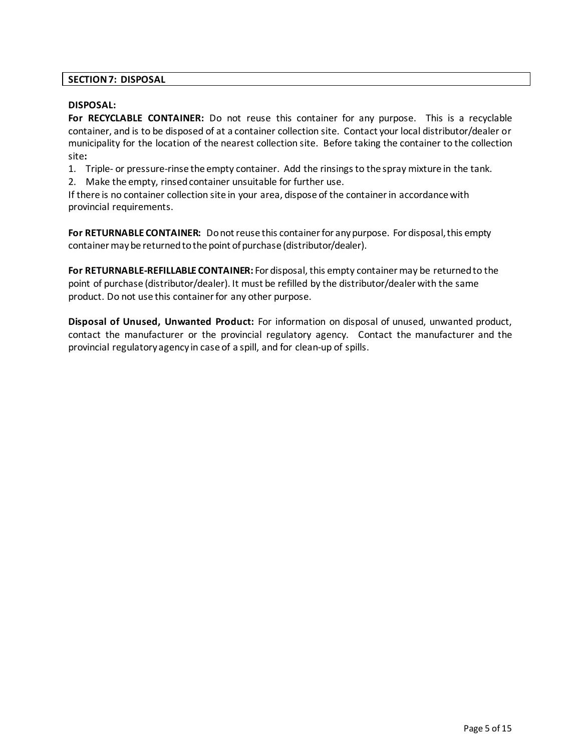## **SECTION 7: DISPOSAL**

## **DISPOSAL:**

**For RECYCLABLE CONTAINER:** Do not reuse this container for any purpose. This is a recyclable container, and is to be disposed of at a container collection site. Contact your local distributor/dealer or municipality for the location of the nearest collection site. Before taking the container to the collection site**:**

1. Triple- or pressure-rinse the empty container. Add the rinsings to the spray mixture in the tank.

2. Make the empty, rinsed container unsuitable for further use.

If there is no container collection site in your area, dispose of the container in accordance with provincial requirements.

**For RETURNABLE CONTAINER:** Do not reuse this container for any purpose. For disposal, this empty container maybe returned to the point of purchase (distributor/dealer).

**For RETURNABLE-REFILLABLE CONTAINER:** For disposal, this empty container may be returned to the point of purchase (distributor/dealer). It must be refilled by the distributor/dealer with the same product. Do not use this container for any other purpose.

**Disposal of Unused, Unwanted Product:** For information on disposal of unused, unwanted product, contact the manufacturer or the provincial regulatory agency. Contact the manufacturer and the provincial regulatory agency in case of a spill, and for clean-up of spills.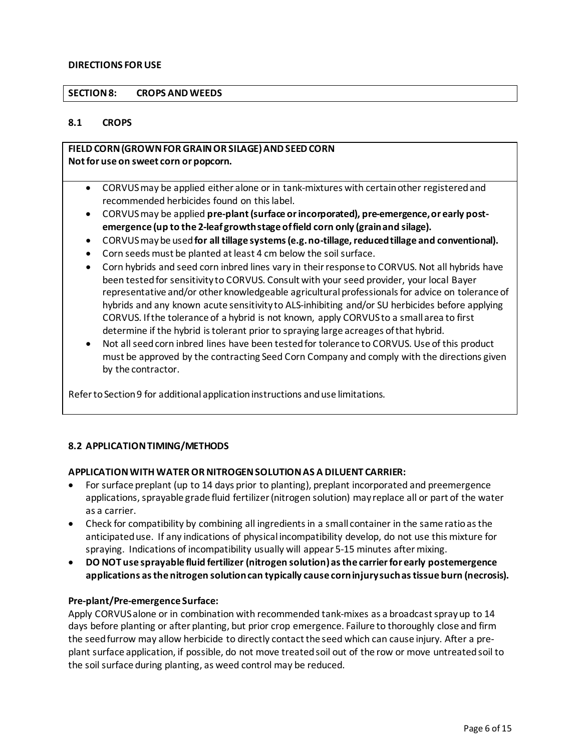### **DIRECTIONS FOR USE**

### **SECTION 8: CROPS AND WEEDS**

### **8.1 CROPS**

## **FIELD CORN(GROWN FOR GRAINOR SILAGE)ANDSEED CORN Not for use on sweet corn or popcorn.**

- CORVUSmay be applied either alone or in tank-mixtures with certain other registered and recommended herbicides found on thislabel.
- CORVUSmay be applied **pre-plant(surface or incorporated), pre-emergence, or early postemergence (up to the 2-leaf growth stage offield corn only (grain and silage).**
- CORVUSmay be used**for all tillage systems (e.g. no-tillage, reduced tillage and conventional).**
- Corn seeds must be planted at least 4 cm below the soil surface.
- Corn hybrids and seed corn inbred lines vary in their response to CORVUS. Not all hybrids have been testedfor sensitivity to CORVUS. Consult with your seed provider, your local Bayer representative and/or other knowledgeable agricultural professionals for advice on tolerance of hybrids and any known acute sensitivity to ALS-inhibiting and/or SU herbicides before applying CORVUS. Ifthe tolerance of a hybrid is not known, apply CORVUSto a small area to first determine if the hybrid is tolerant prior to spraying large acreages of that hybrid.
- Not all seed corn inbred lines have been tested for tolerance to CORVUS. Use of this product must be approved by the contracting Seed Corn Company and comply with the directions given by the contractor.

Refer to Section 9 for additional application instructions and use limitations.

## **8.2 APPLICATION TIMING/METHODS**

## **APPLICATION WITH WATEROR NITROGEN SOLUTION AS A DILUENT CARRIER:**

- For surface preplant (up to 14 days prior to planting), preplant incorporated and preemergence applications, sprayable grade fluid fertilizer (nitrogen solution) may replace all or part of the water as a carrier.
- Check for compatibility by combining all ingredients in a small container in the same ratio as the anticipated use. If any indications of physical incompatibility develop, do not use this mixture for spraying. Indications of incompatibility usually will appear 5-15 minutes aftermixing.
- **DO NOT use sprayable fluid fertilizer (nitrogen solution)as the carrier for early postemergence applications asthe nitrogen solutioncan typically cause corn injury such astissue burn (necrosis).**

#### **Pre-plant/Pre-emergence Surface:**

Apply CORVUSalone or in combination with recommended tank-mixes as a broadcast spray up to 14 days before planting or after planting, but prior crop emergence. Failure to thoroughly close and firm the seed furrow may allow herbicide to directly contact the seed which can cause injury. After a preplant surface application, if possible, do not move treatedsoil out of the row or move untreatedsoil to the soil surface during planting, as weed control may be reduced.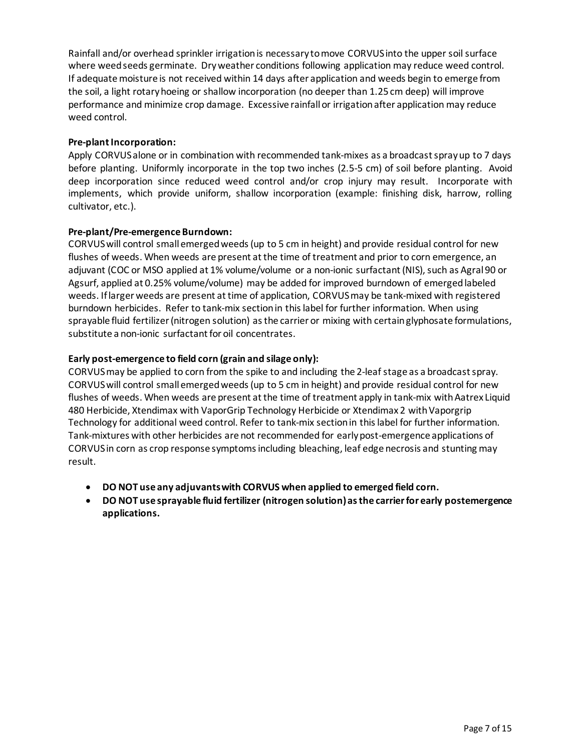Rainfall and/or overhead sprinkler irrigation is necessary tomove CORVUSinto the upper soil surface where weed seeds germinate. Dry weather conditions following application may reduce weed control. If adequate moisture is not received within 14 days after application and weeds begin to emerge from the soil, a light rotaryhoeing or shallow incorporation (no deeper than 1.25 cm deep) will improve performance and minimize crop damage. Excessive rainfall or irrigationafter application may reduce weed control.

## **Pre-plant Incorporation:**

Apply CORVUSalone or in combination with recommended tank-mixes as a broadcast spray up to 7 days before planting. Uniformly incorporate in the top two inches (2.5-5 cm) of soil before planting. Avoid deep incorporation since reduced weed control and/or crop injury may result. Incorporate with implements, which provide uniform, shallow incorporation (example: finishing disk, harrow, rolling cultivator, etc.).

## **Pre-plant/Pre-emergence Burndown:**

CORVUSwill control small emerged weeds (up to 5 cm in height) and provide residual control for new flushes of weeds. When weeds are present atthe time of treatment and prior to corn emergence, an adjuvant (COC or MSO applied at 1% volume/volume or a non-ionic surfactant(NIS), such as Agral 90 or Agsurf, applied at 0.25% volume/volume) may be added for improved burndown of emerged labeled weeds. If larger weeds are present attime of application, CORVUSmay be tank-mixed with registered burndown herbicides. Refer to tank-mix sectionin thislabel for further information. When using sprayable fluid fertilizer (nitrogen solution) as the carrier or mixing with certainglyphosate formulations, substitute a non-ionic surfactant for oil concentrates.

## **Early post-emergence to field corn (grain and silage only):**

CORVUS may be applied to corn from the spike to and including the 2-leaf stage as a broadcast spray. CORVUS will control small emerged weeds(up to 5 cm in height) and provide residual control for new flushes of weeds. When weeds are present at the time of treatment apply in tank-mix with Aatrex Liquid 480 Herbicide, Xtendimax with VaporGrip Technology Herbicide or Xtendimax 2 with Vaporgrip Technology for additional weed control. Refer to tank-mix section in thislabel for further information. Tank-mixtures with other herbicides are not recommended for earlypost-emergence applications of CORVUSin corn as crop response symptoms including bleaching, leaf edge necrosis and stunting may result.

- **DO NOT use any adjuvants with CORVUS when applied to emerged field corn.**
- **DO NOT use sprayable fluid fertilizer (nitrogen solution)as the carrier for early postemergence applications.**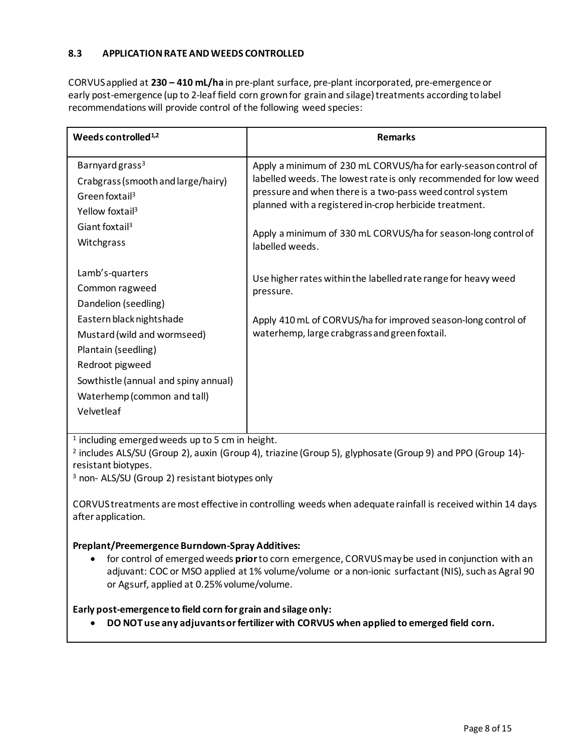## **8.3 APPLICATION RATE AND WEEDS CONTROLLED**

CORVUSapplied at **230 – 410 mL/ha** in pre-plant surface, pre-plant incorporated, pre-emergence or early post-emergence (up to 2-leaf field corn grown for grain and silage) treatments according to label recommendations will provide control of the following weed species:

| Weeds controlled <sup>1,2</sup>                                                                                                                                                        | <b>Remarks</b>                                                                                                                                                                                                                                                                                                                                  |  |  |
|----------------------------------------------------------------------------------------------------------------------------------------------------------------------------------------|-------------------------------------------------------------------------------------------------------------------------------------------------------------------------------------------------------------------------------------------------------------------------------------------------------------------------------------------------|--|--|
| Barnyard grass <sup>3</sup><br>Crabgrass (smooth and large/hairy)<br>Green foxtail <sup>3</sup><br>Yellow foxtail <sup>3</sup><br>Giant foxtail <sup>3</sup><br>Witchgrass             | Apply a minimum of 230 mL CORVUS/ha for early-season control of<br>labelled weeds. The lowest rate is only recommended for low weed<br>pressure and when there is a two-pass weed control system<br>planned with a registered in-crop herbicide treatment.<br>Apply a minimum of 330 mL CORVUS/ha for season-long control of<br>labelled weeds. |  |  |
| Lamb's-quarters<br>Common ragweed<br>Dandelion (seedling)                                                                                                                              | Use higher rates within the labelled rate range for heavy weed<br>pressure.                                                                                                                                                                                                                                                                     |  |  |
| Eastern black nightshade<br>Mustard (wild and wormseed)<br>Plantain (seedling)<br>Redroot pigweed<br>Sowthistle (annual and spiny annual)<br>Waterhemp (common and tall)<br>Velvetleaf | Apply 410 mL of CORVUS/ha for improved season-long control of<br>waterhemp, large crabgrass and green foxtail.                                                                                                                                                                                                                                  |  |  |

<sup>1</sup> including emerged weeds up to 5 cm in height.

<sup>2</sup> includes ALS/SU (Group 2), auxin (Group 4), triazine (Group 5), glyphosate (Group 9) and PPO (Group 14) resistant biotypes.

<sup>3</sup> non- ALS/SU (Group 2) resistant biotypes only

CORVUS treatments are most effective in controlling weeds when adequate rainfall is received within 14 days after application.

# **Preplant/Preemergence Burndown-Spray Additives:**

• for control of emergedweeds **prior**to corn emergence, CORVUSmaybe used in conjunction with an adjuvant: COC or MSO applied at 1% volume/volume or a non-ionic surfactant (NIS), such as Agral 90 or Agsurf, applied at 0.25%volume/volume.

# **Early post-emergence to field corn for grain and silage only:**

• **DO NOT use any adjuvantsor fertilizerwith CORVUS when applied to emerged field corn.**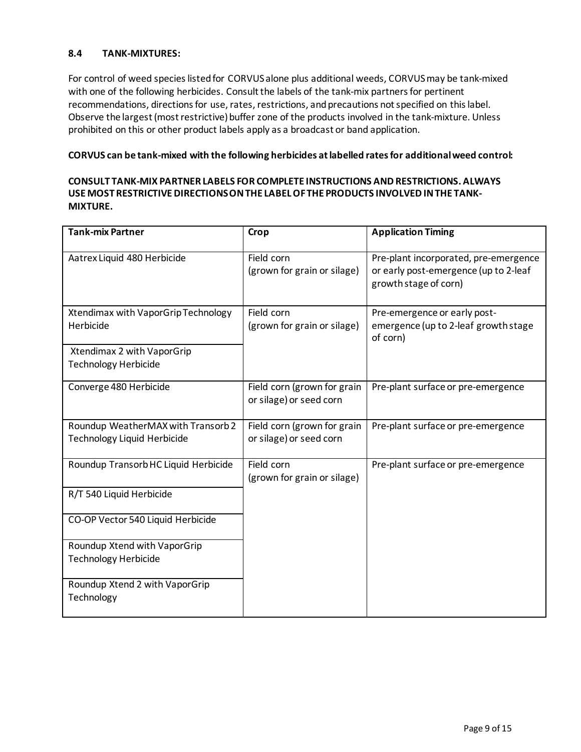## **8.4 TANK-MIXTURES:**

For control of weed species listed for CORVUS alone plus additional weeds, CORVUS may be tank-mixed with one of the following herbicides. Consult the labels of the tank-mix partners for pertinent recommendations, directions for use, rates, restrictions, and precautions not specified on this label. Observe the largest (most restrictive) buffer zone of the products involved in the tank-mixture. Unless prohibited on this or other product labels apply as a broadcast or band application.

## **CORVUS can be tank-mixed with the following herbicides at labelled ratesfor additional weed control:**

## **CONSULT TANK-MIX PARTNER LABELS FOR COMPLETE INSTRUCTIONS AND RESTRICTIONS. ALWAYS USE MOST RESTRICTIVE DIRECTIONS ON THE LABEL OF THE PRODUCTS INVOLVED IN THE TANK-MIXTURE.**

| <b>Tank-mix Partner</b>                                                  | Crop                                                                                                                          | <b>Application Timing</b>                                                                               |
|--------------------------------------------------------------------------|-------------------------------------------------------------------------------------------------------------------------------|---------------------------------------------------------------------------------------------------------|
| Aatrex Liquid 480 Herbicide                                              | Field corn<br>(grown for grain or silage)                                                                                     | Pre-plant incorporated, pre-emergence<br>or early post-emergence (up to 2-leaf<br>growth stage of corn) |
| Xtendimax with VaporGrip Technology<br>Herbicide                         | Field corn<br>Pre-emergence or early post-<br>(grown for grain or silage)<br>emergence (up to 2-leaf growth stage<br>of corn) |                                                                                                         |
| Xtendimax 2 with VaporGrip<br><b>Technology Herbicide</b>                |                                                                                                                               |                                                                                                         |
| Converge 480 Herbicide                                                   | Field corn (grown for grain<br>or silage) or seed corn                                                                        | Pre-plant surface or pre-emergence                                                                      |
| Roundup WeatherMAX with Transorb 2<br><b>Technology Liquid Herbicide</b> | Field corn (grown for grain<br>or silage) or seed corn                                                                        | Pre-plant surface or pre-emergence                                                                      |
| Roundup Transorb HC Liquid Herbicide                                     | Field corn<br>Pre-plant surface or pre-emergence<br>(grown for grain or silage)                                               |                                                                                                         |
| R/T 540 Liquid Herbicide                                                 |                                                                                                                               |                                                                                                         |
| CO-OP Vector 540 Liquid Herbicide                                        |                                                                                                                               |                                                                                                         |
| Roundup Xtend with VaporGrip<br><b>Technology Herbicide</b>              |                                                                                                                               |                                                                                                         |
| Roundup Xtend 2 with VaporGrip<br>Technology                             |                                                                                                                               |                                                                                                         |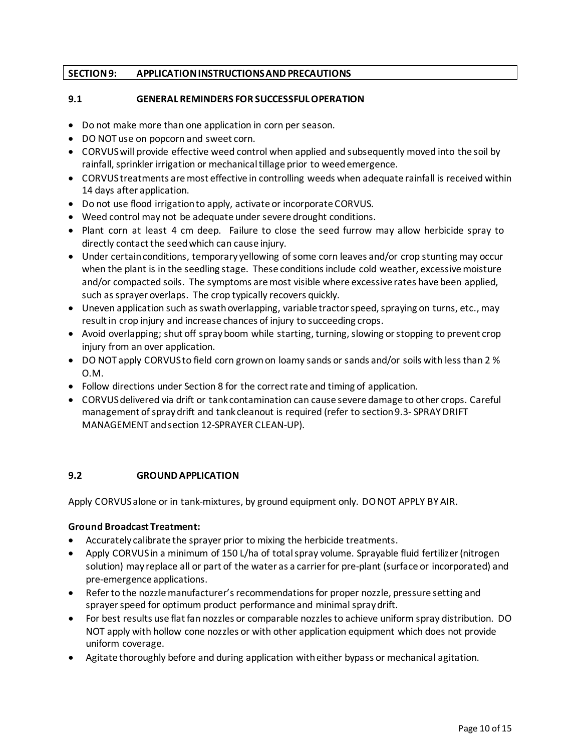## **SECTION 9: APPLICATION INSTRUCTIONS ANDPRECAUTIONS**

## **9.1 GENERAL REMINDERS FOR SUCCESSFUL OPERATION**

- Do not make more than one application in corn per season.
- DO NOT use on popcorn and sweet corn.
- CORVUSwill provide effective weed control when applied and subsequently moved into the soil by rainfall, sprinkler irrigation or mechanical tillage prior to weedemergence.
- CORVUS treatments are most effective in controlling weeds when adequate rainfall is received within 14 days after application.
- Do not use flood irrigationto apply, activate or incorporate CORVUS.
- Weed control may not be adequate under severe drought conditions.
- Plant corn at least 4 cm deep. Failure to close the seed furrow may allow herbicide spray to directly contact the seed which can cause injury.
- Under certain conditions, temporary yellowing of some corn leaves and/or crop stunting may occur when the plant is in the seedling stage. These conditionsinclude cold weather, excessive moisture and/or compacted soils. The symptoms are most visible where excessive rates have been applied, such as sprayer overlaps. The crop typically recovers quickly.
- Uneven application such as swath overlapping, variable tractor speed, spraying on turns, etc., may result in crop injury and increase chances of injury to succeeding crops.
- Avoid overlapping; shut off spray boom while starting, turning, slowing or stopping to prevent crop injury from an over application.
- DO NOT apply CORVUS to field corn grown on loamy sands or sands and/or soils with less than 2 % O.M.
- Follow directions under Section 8 for the correct rate and timing of application.
- CORVUSdelivered via drift or tank contamination can cause severe damage to other crops. Careful management of spray drift and tank cleanout is required (refer to section 9.3- SPRAY DRIFT MANAGEMENT and section 12-SPRAYER CLEAN-UP).

## **9.2 GROUND APPLICATION**

Apply CORVUSalone or in tank-mixtures, by ground equipment only. DO NOT APPLY BY AIR.

## **Ground Broadcast Treatment:**

- Accurately calibrate the sprayer prior to mixing the herbicide treatments.
- Apply CORVUS in a minimum of 150 L/ha of total spray volume. Sprayable fluid fertilizer (nitrogen solution) may replace all or part of the water as a carrier for pre-plant (surface or incorporated) and pre-emergence applications.
- Referto the nozzle manufacturer's recommendations for proper nozzle, pressure setting and sprayer speed for optimum product performance and minimal spray drift.
- For best results use flat fan nozzles or comparable nozzlesto achieve uniform spray distribution. DO NOT apply with hollow cone nozzles or with other application equipment which does not provide uniform coverage.
- Agitate thoroughly before and during application with either bypass or mechanical agitation.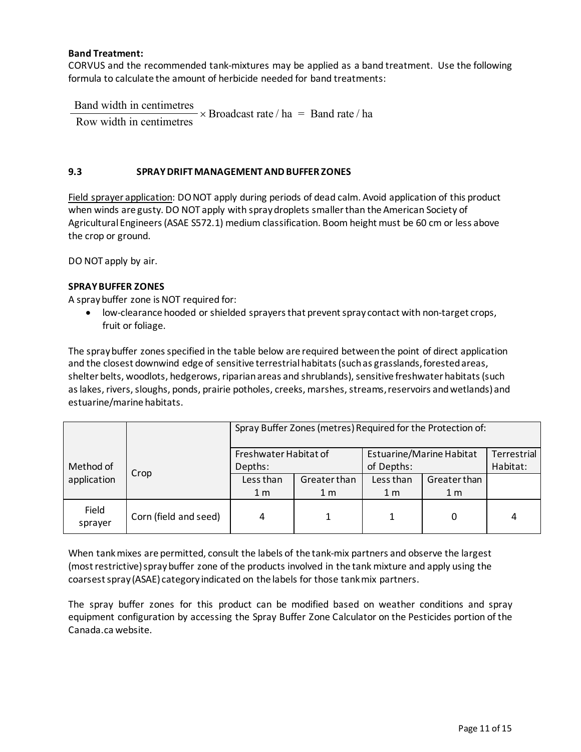## **Band Treatment:**

CORVUS and the recommended tank-mixtures may be applied as a band treatment. Use the following formula to calculate the amount of herbicide needed for band treatments:

 Band width in centimetres  $B_{\text{end}}$  width in centimetres  $\mathbf{r}$ 

Row width in centimetres  $\times$  Broadcast rate / ha = Band rate / ha

### **9.3 SPRAY DRIFT MANAGEMENT AND BUFFER ZONES**

Field sprayer application: DO NOT apply during periods of dead calm. Avoid application of this product when winds are gusty. DO NOT apply with spraydroplets smallerthan the American Society of Agricultural Engineers(ASAE S572.1) medium classification. Boom height must be 60 cm or less above the crop or ground.

DO NOT apply by air.

### **SPRAY BUFFER ZONES**

A spraybuffer zone is NOT required for:

• low-clearance hooded or shielded sprayersthat prevent spray contact with non-target crops, fruit or foliage.

The spray buffer zones specified in the table below are required between the point of direct application and the closest downwind edge of sensitive terrestrial habitats(such as grasslands, forested areas, shelter belts, woodlots, hedgerows, riparian areas and shrublands), sensitive freshwater habitats (such as lakes, rivers, sloughs, ponds, prairie potholes, creeks, marshes, streams, reservoirs and wetlands)and estuarine/marine habitats.

|                          |                       | Spray Buffer Zones (metres) Required for the Protection of: |                |                          |                |             |
|--------------------------|-----------------------|-------------------------------------------------------------|----------------|--------------------------|----------------|-------------|
|                          | Crop                  | Freshwater Habitat of                                       |                | Estuarine/Marine Habitat |                | Terrestrial |
| Method of<br>application |                       | Depths:                                                     |                | of Depths:               |                | Habitat:    |
|                          |                       | Less than                                                   | Greater than   | Less than                | Greater than   |             |
|                          |                       | 1 <sub>m</sub>                                              | 1 <sub>m</sub> | 1 <sub>m</sub>           | 1 <sub>m</sub> |             |
| Field<br>sprayer         | Corn (field and seed) | 4                                                           |                |                          | 0              | 4           |

When tank mixes are permitted, consult the labels of the tank-mix partners and observe the largest (mostrestrictive)spraybuffer zone of the products involved in the tank mixture and apply using the coarsest spray (ASAE) category indicated on the labels for those tankmix partners.

The spray buffer zones for this product can be modified based on weather conditions and spray equipment configuration by accessing the Spray Buffer Zone Calculator on the Pesticides portion of the Canada.ca website.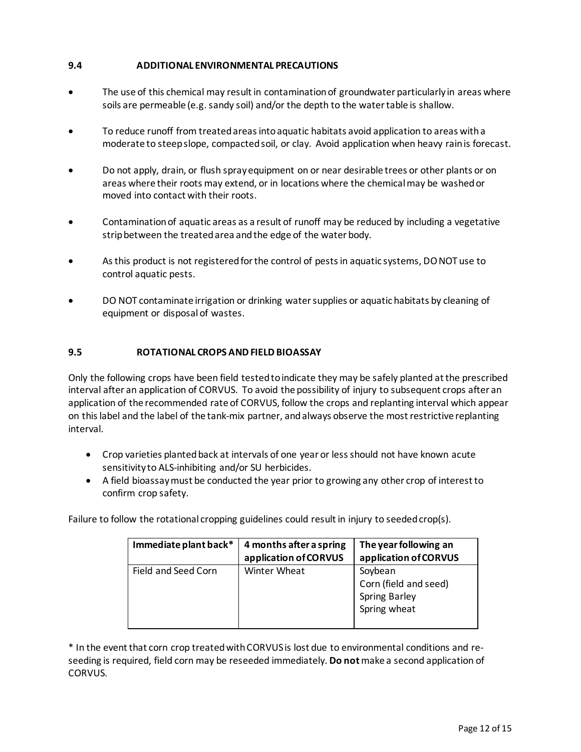# **9.4 ADDITIONAL ENVIRONMENTAL PRECAUTIONS**

- The use of this chemical may result in contamination of groundwater particularly in areas where soils are permeable (e.g. sandy soil) and/or the depth to the water table is shallow.
- To reduce runoff from treated areas into aquatic habitats avoid application to areas with a moderate to steep slope, compacted soil, or clay. Avoid application when heavy rain is forecast.
- Do not apply, drain, or flush sprayequipment on or near desirable trees or other plants or on areas where their roots may extend, or in locations where the chemical may be washed or moved into contact with their roots.
- Contamination of aquatic areas as a result of runoff may be reduced by including a vegetative strip between the treated area and the edge of the water body.
- As this product is not registered for the control of pests in aquatic systems, DO NOT use to control aquatic pests.
- DO NOT contaminate irrigation or drinking water supplies or aquatic habitats by cleaning of equipment or disposalof wastes.

## **9.5 ROTATIONAL CROPS AND FIELD BIOASSAY**

Only the following crops have been field tested to indicate they may be safely planted at the prescribed interval after an application of CORVUS. To avoid the possibility of injury to subsequent crops after an application of the recommended rate of CORVUS, follow the crops and replanting interval which appear on thislabel and the label of the tank-mix partner, and always observe the most restrictive replanting interval.

- Crop varieties planted back at intervals of one year or lessshould not have known acute sensitivity to ALS-inhibiting and/or SU herbicides.
- A field bioassay must be conducted the year prior to growing any other crop of interestto confirm crop safety.

Failure to follow the rotational cropping guidelines could result in injury to seeded crop(s).

| Immediate plant back* | 4 months after a spring<br>application of CORVUS | The year following an<br>application of CORVUS                           |
|-----------------------|--------------------------------------------------|--------------------------------------------------------------------------|
| Field and Seed Corn   | <b>Winter Wheat</b>                              | Soybean<br>Corn (field and seed)<br><b>Spring Barley</b><br>Spring wheat |

\* In the event that corn crop treated with CORVUS is lost due to environmental conditions and reseeding is required, field corn may be reseeded immediately. **Do not**make a second application of CORVUS.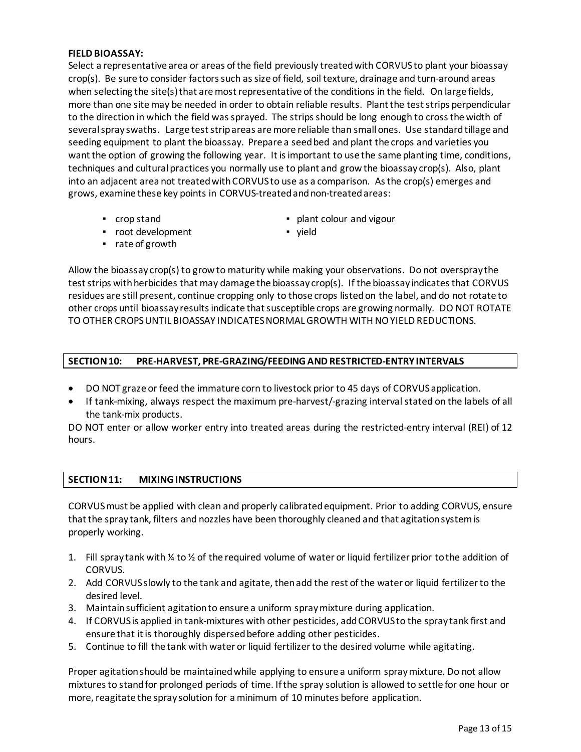### **FIELD BIOASSAY:**

Select a representative area or areas ofthe field previously treated with CORVUSto plant your bioassay crop(s). Be sure to consider factors such as size of field, soil texture, drainage and turn-around areas when selecting the site(s) that are most representative of the conditions in the field. On large fields, more than one site may be needed in order to obtain reliable results. Plant the test strips perpendicular to the direction in which the field was sprayed. The strips should be long enough to cross the width of several spray swaths. Large test strip areas are more reliable than small ones. Use standard tillage and seeding equipment to plant the bioassay. Prepare a seed bed and plant the crops and varieties you want the option of growing the following year. It is important to use the same planting time, conditions, techniques and cultural practices you normally use to plant and grow the bioassay crop(s). Also, plant into an adjacent area not treated with CORVUSto use as a comparison. Asthe crop(s) emerges and grows, examine these key points in CORVUS-treated and non-treatedareas:

- 
- root development vield
- crop stand plant colour and vigour
- rate of growth
	-

Allow the bioassay crop(s) to growto maturity while making your observations. Do not overspray the test strips with herbicides that may damage the bioassay crop(s). If the bioassay indicates that CORVUS residues are still present, continue cropping only to those crops listed on the label, and do not rotate to other crops until bioassay results indicate that susceptible crops are growing normally. DO NOT ROTATE TO OTHER CROPS UNTIL BIOASSAY INDICATES NORMAL GROWTH WITH NO YIELD REDUCTIONS.

## **SECTION 10: PRE-HARVEST, PRE-GRAZING/FEEDING ANDRESTRICTED-ENTRYINTERVALS**

- DO NOT graze or feed the immature corn to livestock prior to 45 days of CORVUSapplication.
- If tank-mixing, always respect the maximum pre-harvest/-grazing interval stated on the labels of all the tank-mix products.

DO NOT enter or allow worker entry into treated areas during the restricted-entry interval (REI) of 12 hours.

## **SECTION 11: MIXING INSTRUCTIONS**

CORVUSmust be applied with clean and properly calibrated equipment. Prior to adding CORVUS, ensure thatthe spray tank, filters and nozzles have been thoroughly cleaned and that agitation systemis properly working.

- 1. Fill spray tank with ¼ to ½ of the required volume of water or liquid fertilizer prior tothe addition of CORVUS.
- 2. Add CORVUSslowly to the tank and agitate, then add the rest of the water or liquid fertilizerto the desired level.
- 3. Maintain sufficient agitation to ensure a uniform spraymixture during application.
- 4. If CORVUSis applied in tank-mixtures with other pesticides, add CORVUSto the spray tank first and ensure that it is thoroughly dispersed before adding other pesticides.
- 5. Continue to fill the tank with water or liquid fertilizerto the desired volume while agitating.

Proper agitation should be maintained while applying to ensure a uniform spraymixture. Do not allow mixturesto stand for prolonged periods of time. Ifthe spray solution is allowed to settle for one hour or more, reagitate the spray solution for a minimum of 10 minutes before application.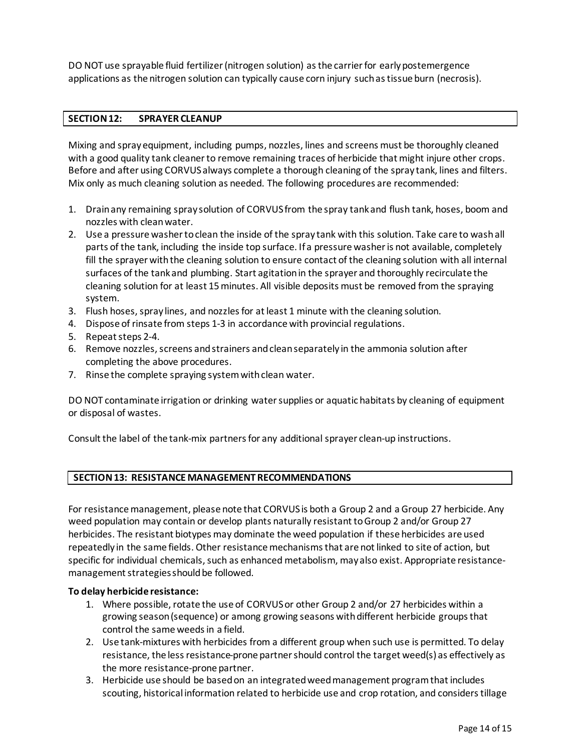DO NOT use sprayable fluid fertilizer (nitrogen solution) as the carrier for early postemergence applications as the nitrogen solution can typically cause corn injury suchas tissue burn (necrosis).

## **SECTION 12: SPRAYER CLEANUP**

Mixing and spray equipment, including pumps, nozzles, lines and screens must be thoroughly cleaned with a good quality tank cleaner to remove remaining traces of herbicide that might injure other crops. Before and after using CORVUSalways complete a thorough cleaning of the spray tank, lines and filters. Mix only as much cleaning solution as needed. The following procedures are recommended:

- 1. Drain any remaining spray solution of CORVUS from the spray tank and flush tank, hoses, boom and nozzles with clean water.
- 2. Use a pressure washertoclean the inside of the spray tank with this solution. Take care to wash all parts of the tank, including the inside top surface. If a pressure washer is not available, completely fill the sprayer with the cleaning solution to ensure contact of the cleaning solution with all internal surfaces of the tankand plumbing. Start agitation in the sprayer and thoroughly recirculate the cleaning solution for at least 15minutes. All visible deposits must be removed from the spraying system.
- 3. Flush hoses, spray lines, and nozzles for at least 1 minute with the cleaning solution.
- 4. Dispose of rinsate from steps 1-3 in accordance with provincial regulations.
- 5. Repeat steps 2-4.
- 6. Remove nozzles, screens and strainers and clean separately in the ammonia solution after completing the above procedures.
- 7. Rinse the complete spraying system with clean water.

DO NOT contaminate irrigation or drinking water supplies or aquatic habitats by cleaning of equipment or disposal of wastes.

Consult the label of the tank-mix partners for any additional sprayer clean-up instructions.

# **SECTION 13: RESISTANCE MANAGEMENT RECOMMENDATIONS**

For resistance management, please note that CORVUSis both a Group 2 and a Group 27 herbicide. Any weed population may contain or develop plants naturally resistant to Group 2 and/or Group 27 herbicides. The resistant biotypes may dominate the weed population if these herbicides are used repeatedly in the same fields. Other resistance mechanisms that are not linked to site of action, but specific for individual chemicals, such as enhanced metabolism, may also exist. Appropriate resistancemanagement strategies should be followed.

## **To delay herbicide resistance:**

- 1. Where possible, rotate the use of CORVUSor other Group 2 and/or 27 herbicides within a growing season (sequence) or among growing seasons with different herbicide groups that control the same weeds in a field.
- 2. Use tank-mixtures with herbicides from a different group when such use is permitted. To delay resistance, the less resistance-prone partner should control the target weed(s) as effectively as the more resistance-prone partner.
- 3. Herbicide use should be based on an integrated weed management program that includes scouting, historical information related to herbicide use and crop rotation, and considers tillage tillage (or other methods), cultural control methods), cultural for example, higher crop seeding rates; precisio